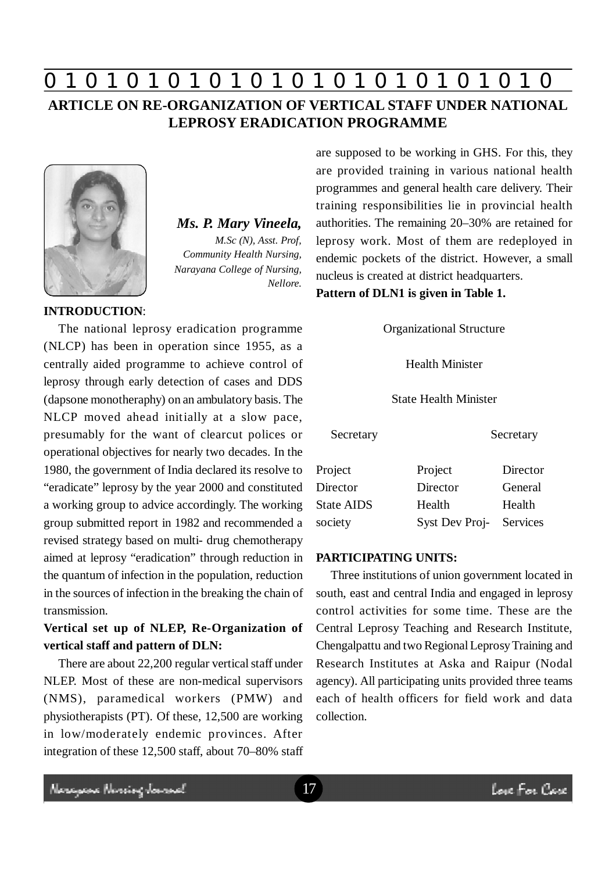# **0 z 0 z 0 z 0 z 0 z 0 z 0 z 0 z 0 z 0 z 0 z 0 z 0**

# **ARTICLE ON RE-ORGANIZATION OF VERTICAL STAFF UNDER NATIONAL LEPROSY ERADICATION PROGRAMME**



*Ms. P. Mary Vineela, M.Sc (N), Asst. Prof, Community Health Nursing, Narayana College of Nursing, Nellore.*

The national leprosy eradication programme (NLCP) has been in operation since 1955, as a centrally aided programme to achieve control of leprosy through early detection of cases and DDS (dapsone monotheraphy) on an ambulatory basis. The NLCP moved ahead initially at a slow pace, presumably for the want of clearcut polices or operational objectives for nearly two decades. In the 1980, the government of India declared its resolve to "eradicate" leprosy by the year 2000 and constituted a working group to advice accordingly. The working group submitted report in 1982 and recommended a revised strategy based on multi- drug chemotherapy aimed at leprosy "eradication" through reduction in the quantum of infection in the population, reduction in the sources of infection in the breaking the chain of transmission.

# **Vertical set up of NLEP, Re-Organization of vertical staff and pattern of DLN:**

There are about 22,200 regular vertical staff under NLEP. Most of these are non-medical supervisors (NMS), paramedical workers (PMW) and physiotherapists (PT). Of these, 12,500 are working in low/moderately endemic provinces. After integration of these 12,500 staff, about 70–80% staff are supposed to be working in GHS. For this, they are provided training in various national health programmes and general health care delivery. Their training responsibilities lie in provincial health authorities. The remaining 20–30% are retained for leprosy work. Most of them are redeployed in endemic pockets of the district. However, a small nucleus is created at district headquarters.

**Pattern of DLN1 is given in Table 1.**

Organizational Structure

Health Minister

### State Health Minister

| Secretary         |                | Secretary |
|-------------------|----------------|-----------|
| Project           | Project        | Director  |
| Director          | Director       | General   |
| <b>State AIDS</b> | Health         | Health    |
| society           | Syst Dev Proj- | Services  |

### **PARTICIPATING UNITS:**

Three institutions of union government located in south, east and central India and engaged in leprosy control activities for some time. These are the Central Leprosy Teaching and Research Institute, Chengalpattu and two Regional Leprosy Training and Research Institutes at Aska and Raipur (Nodal agency). All participating units provided three teams each of health officers for field work and data collection.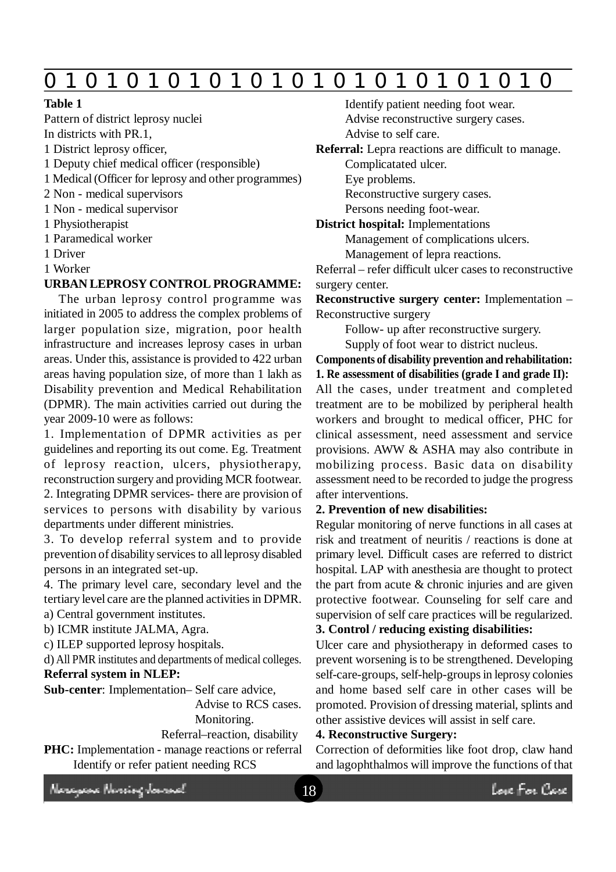# **0 z 0 z 0 z 0 z 0 z 0 z 0 z 0 z 0 z 0 z 0 z 0 z 0**

### **Table 1**

Pattern of district leprosy nuclei In districts with PR.1,

- 1 District leprosy officer,
- 1 Deputy chief medical officer (responsible)
- 1 Medical (Officer for leprosy and other programmes)
- 2 Non medical supervisors
- 1 Non medical supervisor
- 1 Physiotherapist
- 1 Paramedical worker
- 1 Driver
- 1 Worker

### **URBAN LEPROSY CONTROL PROGRAMME:**

The urban leprosy control programme was initiated in 2005 to address the complex problems of larger population size, migration, poor health infrastructure and increases leprosy cases in urban areas. Under this, assistance is provided to 422 urban areas having population size, of more than 1 lakh as Disability prevention and Medical Rehabilitation (DPMR). The main activities carried out during the year 2009-10 were as follows:

1. Implementation of DPMR activities as per guidelines and reporting its out come. Eg. Treatment of leprosy reaction, ulcers, physiotherapy, reconstruction surgery and providing MCR footwear. 2. Integrating DPMR services- there are provision of services to persons with disability by various departments under different ministries.

3. To develop referral system and to provide prevention of disability services to all leprosy disabled persons in an integrated set-up.

4. The primary level care, secondary level and the tertiary level care are the planned activities in DPMR. a) Central government institutes.

b) ICMR institute JALMA, Agra.

c) ILEP supported leprosy hospitals.

d) All PMR institutes and departments of medical colleges.

# **Referral system in NLEP:**

**Sub-center**: Implementation– Self care advice,

Advise to RCS cases. Monitoring.

Referral–reaction, disability

PHC: Implementation - manage reactions or referral Identify or refer patient needing RCS

Identify patient needing foot wear. Advise reconstructive surgery cases.

Advise to self care.

**Referral:** Lepra reactions are difficult to manage.

Complicatated ulcer.

Eye problems.

Reconstructive surgery cases.

Persons needing foot-wear.

**District hospital:** Implementations

Management of complications ulcers.

Management of lepra reactions.

Referral – refer difficult ulcer cases to reconstructive surgery center.

**Reconstructive surgery center:** Implementation – Reconstructive surgery

Follow- up after reconstructive surgery.

Supply of foot wear to district nucleus.

**Components of disability prevention and rehabilitation: 1. Re assessment of disabilities (grade I and grade II):** All the cases, under treatment and completed treatment are to be mobilized by peripheral health workers and brought to medical officer, PHC for clinical assessment, need assessment and service provisions. AWW & ASHA may also contribute in

mobilizing process. Basic data on disability assessment need to be recorded to judge the progress after interventions.

## **2. Prevention of new disabilities:**

Regular monitoring of nerve functions in all cases at risk and treatment of neuritis / reactions is done at primary level. Difficult cases are referred to district hospital. LAP with anesthesia are thought to protect the part from acute & chronic injuries and are given protective footwear. Counseling for self care and supervision of self care practices will be regularized.

# **3. Control / reducing existing disabilities:**

Ulcer care and physiotherapy in deformed cases to prevent worsening is to be strengthened. Developing self-care-groups, self-help-groups in leprosy colonies and home based self care in other cases will be promoted. Provision of dressing material, splints and other assistive devices will assist in self care.

### **4. Reconstructive Surgery:**

Correction of deformities like foot drop, claw hand and lagophthalmos will improve the functions of that

Neregeae Nereige Jamach